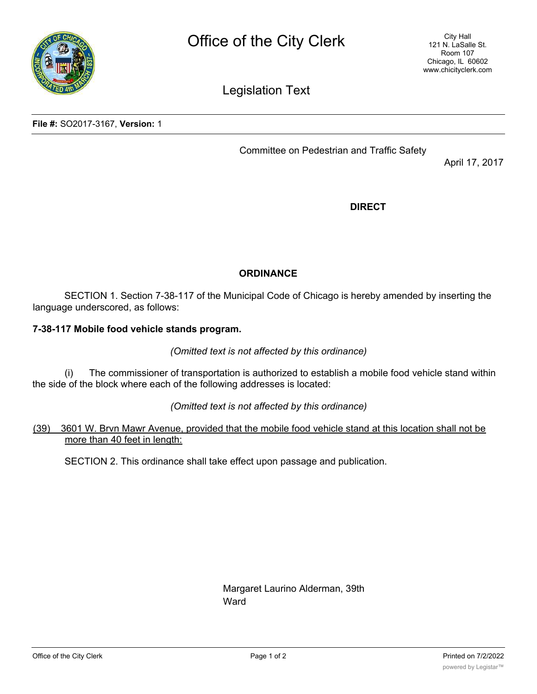

Legislation Text

**File #:** SO2017-3167, **Version:** 1

Committee on Pedestrian and Traffic Safety

April 17, 2017

**DIRECT**

## **ORDINANCE**

SECTION 1. Section 7-38-117 of the Municipal Code of Chicago is hereby amended by inserting the language underscored, as follows:

## **7-38-117 Mobile food vehicle stands program.**

*(Omitted text is not affected by this ordinance)*

(i) The commissioner of transportation is authorized to establish a mobile food vehicle stand within the side of the block where each of the following addresses is located:

*(Omitted text is not affected by this ordinance)*

## (39) 3601 W. Brvn Mawr Avenue, provided that the mobile food vehicle stand at this location shall not be more than 40 feet in length:

SECTION 2. This ordinance shall take effect upon passage and publication.

Margaret Laurino Alderman, 39th Ward